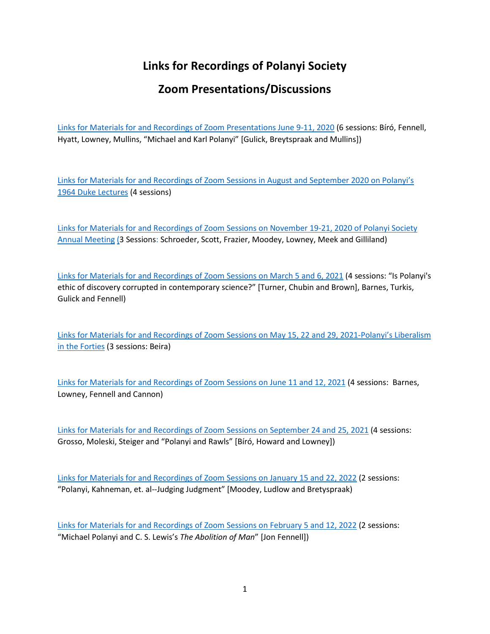## **Links for Recordings of Polanyi Society**

## **Zoom Presentations/Discussions**

Links for Materials for [and Recordings of Zoom Presentations June 9-11, 2020](http://polanyisociety.org/2020Zoom/PS-WebPost-ZoomSessionsJune20-1Sept20.pdf) (6 sessions: Bíró, Fennell, Hyatt, Lowney, Mullins, "Michael and Karl Polanyi" [Gulick, Breytspraak and Mullins])

Links for Materials for and [Recordings of Zoom Sessions in August and September 2020 on Polanyi's](http://polanyisociety.org/2020Zoom/ZoomDisc-DukeLec-post.pdf)  [1964 Duke Lectures](http://polanyisociety.org/2020Zoom/ZoomDisc-DukeLec-post.pdf) (4 sessions)

Links for Materials for [and Recordings of Zoom Sessions on November 19-21, 2020 of Polanyi Society](http://polanyisociety.org/2020Zoom/Zoom-2020-annual-meeting-post-5Dec20.pdf)  [Annual Meeting](http://polanyisociety.org/2020Zoom/Zoom-2020-annual-meeting-post-5Dec20.pdf) (3 Sessions: Schroeder, Scott, Frazier, Moodey, Lowney, Meek and Gilliland)

Links [for Materials for and Recordings of Zoom Sessions on March 5 and 6, 2021](http://polanyisociety.org/2021Zoom/Zoom-Sessions-Mar.5&6-final.pdf) (4 sessions: "Is Polanyi's ethic of discovery corrupted in contemporary science?" [Turner, Chubin and Brown], Barnes, Turkis, Gulick and Fennell)

[Links for Materials for and Recordings of Zoom Sessions on May 15, 22 and 29, 2021-Polanyi's Liberalism](http://polanyisociety.org/2021Zoom/May2021/Polanyi-Liberalism-Proposal-5June2021.pdf)  [in the Forties](http://polanyisociety.org/2021Zoom/May2021/Polanyi-Liberalism-Proposal-5June2021.pdf) (3 sessions: Beira)

Links [for Materials for and Recordings of Zoom Sessions on June 11 and 12, 2021](http://polanyisociety.org/2021Zoom/Program-Zoom-June2021-13June21-Final.pdf) (4 sessions: Barnes, Lowney, Fennell and Cannon)

[Links for Materials for and Recordings of Zoom Sessions on September 24 and 25, 2021](http://polanyisociety.org/2021Zoom/Sept2021/Zoom-Sessions-Sept24-25-2021--post-session-2Oct21.pdf) (4 sessions: Grosso, Moleski, Steiger and "Polanyi and Rawls" [Bíró, Howard and Lowney])

[Links for Materials for and Recordings of Zoom Sessions on January 15 and 22, 2022](http://polanyisociety.org/2022Zoom/Jan2022Zoom/Program-Zoom-Jan2022-27Jan22-final.pdf) (2 sessions: "Polanyi, Kahneman, et. al--Judging Judgment" [Moodey, Ludlow and Bretyspraak)

[Links for Materials for and Recordings of Zoom Sessions on February 5 and 12, 2022](http://polanyisociety.org/2022Zoom/Feb2022Zoom/Program-Zoom-Feb2022-17Feb22-final.pdf) (2 sessions: "Michael Polanyi and C. S. Lewis's *The Abolition of Man*" [Jon Fennell])